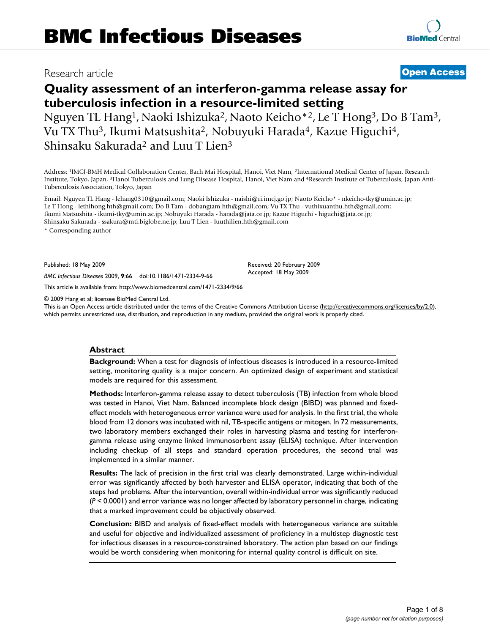# **[BioMed](http://www.biomedcentral.com/)** Central

## Research article **[Open Access](http://www.biomedcentral.com/info/about/charter/)**

# **Quality assessment of an interferon-gamma release assay for tuberculosis infection in a resource-limited setting**

Nguyen TL Hang1, Naoki Ishizuka2, Naoto Keicho\*2, Le T Hong3, Do B Tam3, Vu TX Thu3, Ikumi Matsushita2, Nobuyuki Harada4, Kazue Higuchi4, Shinsaku Sakurada2 and Luu T Lien3

Address: 1IMCJ-BMH Medical Collaboration Center, Bach Mai Hospital, Hanoi, Viet Nam, 2International Medical Center of Japan, Research Institute, Tokyo, Japan, 3Hanoi Tuberculosis and Lung Disease Hospital, Hanoi, Viet Nam and 4Research Institute of Tuberculosis, Japan Anti-Tuberculosis Association, Tokyo, Japan

Email: Nguyen TL Hang - lehang0310@gmail.com; Naoki Ishizuka - naishi@ri.imcj.go.jp; Naoto Keicho\* - nkeicho-tky@umin.ac.jp; Le T Hong - lethihong.hth@gmail.com; Do B Tam - dobangtam.hth@gmail.com; Vu TX Thu - vuthixuanthu.hth@gmail.com; Ikumi Matsushita - ikumi-tky@umin.ac.jp; Nobuyuki Harada - harada@jata.or.jp; Kazue Higuchi - higuchi@jata.or.jp; Shinsaku Sakurada - ssakura@mti.biglobe.ne.jp; Luu T Lien - luuthilien.hth@gmail.com

\* Corresponding author

Published: 18 May 2009

*BMC Infectious Diseases* 2009, **9**:66 doi:10.1186/1471-2334-9-66

[This article is available from: http://www.biomedcentral.com/1471-2334/9/66](http://www.biomedcentral.com/1471-2334/9/66)

© 2009 Hang et al; licensee BioMed Central Ltd.

This is an Open Access article distributed under the terms of the Creative Commons Attribution License [\(http://creativecommons.org/licenses/by/2.0\)](http://creativecommons.org/licenses/by/2.0), which permits unrestricted use, distribution, and reproduction in any medium, provided the original work is properly cited.

Received: 20 February 2009 Accepted: 18 May 2009

#### **Abstract**

**Background:** When a test for diagnosis of infectious diseases is introduced in a resource-limited setting, monitoring quality is a major concern. An optimized design of experiment and statistical models are required for this assessment.

**Methods:** Interferon-gamma release assay to detect tuberculosis (TB) infection from whole blood was tested in Hanoi, Viet Nam. Balanced incomplete block design (BIBD) was planned and fixedeffect models with heterogeneous error variance were used for analysis. In the first trial, the whole blood from 12 donors was incubated with nil, TB-specific antigens or mitogen. In 72 measurements, two laboratory members exchanged their roles in harvesting plasma and testing for interferongamma release using enzyme linked immunosorbent assay (ELISA) technique. After intervention including checkup of all steps and standard operation procedures, the second trial was implemented in a similar manner.

**Results:** The lack of precision in the first trial was clearly demonstrated. Large within-individual error was significantly affected by both harvester and ELISA operator, indicating that both of the steps had problems. After the intervention, overall within-individual error was significantly reduced (*P* < 0.0001) and error variance was no longer affected by laboratory personnel in charge, indicating that a marked improvement could be objectively observed.

**Conclusion:** BIBD and analysis of fixed-effect models with heterogeneous variance are suitable and useful for objective and individualized assessment of proficiency in a multistep diagnostic test for infectious diseases in a resource-constrained laboratory. The action plan based on our findings would be worth considering when monitoring for internal quality control is difficult on site.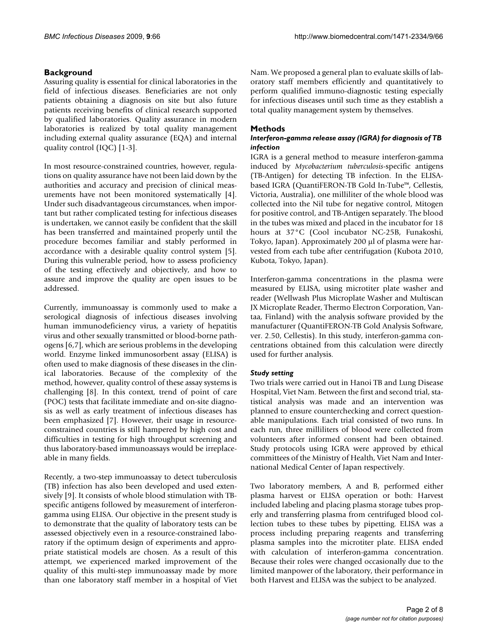### **Background**

Assuring quality is essential for clinical laboratories in the field of infectious diseases. Beneficiaries are not only patients obtaining a diagnosis on site but also future patients receiving benefits of clinical research supported by qualified laboratories. Quality assurance in modern laboratories is realized by total quality management including external quality assurance (EQA) and internal quality control (IQC) [1-3].

In most resource-constrained countries, however, regulations on quality assurance have not been laid down by the authorities and accuracy and precision of clinical measurements have not been monitored systematically [4]. Under such disadvantageous circumstances, when important but rather complicated testing for infectious diseases is undertaken, we cannot easily be confident that the skill has been transferred and maintained properly until the procedure becomes familiar and stably performed in accordance with a desirable quality control system [5]. During this vulnerable period, how to assess proficiency of the testing effectively and objectively, and how to assure and improve the quality are open issues to be addressed.

Currently, immunoassay is commonly used to make a serological diagnosis of infectious diseases involving human immunodeficiency virus, a variety of hepatitis virus and other sexually transmitted or blood-borne pathogens [6,7], which are serious problems in the developing world. Enzyme linked immunosorbent assay (ELISA) is often used to make diagnosis of these diseases in the clinical laboratories. Because of the complexity of the method, however, quality control of these assay systems is challenging [8]. In this context, trend of point of care (POC) tests that facilitate immediate and on-site diagnosis as well as early treatment of infectious diseases has been emphasized [7]. However, their usage in resourceconstrained countries is still hampered by high cost and difficulties in testing for high throughput screening and thus laboratory-based immunoassays would be irreplaceable in many fields.

Recently, a two-step immunoassay to detect tuberculosis (TB) infection has also been developed and used extensively [9]. It consists of whole blood stimulation with TBspecific antigens followed by measurement of interferongamma using ELISA. Our objective in the present study is to demonstrate that the quality of laboratory tests can be assessed objectively even in a resource-constrained laboratory if the optimum design of experiments and appropriate statistical models are chosen. As a result of this attempt, we experienced marked improvement of the quality of this multi-step immunoassay made by more than one laboratory staff member in a hospital of Viet Nam. We proposed a general plan to evaluate skills of laboratory staff members efficiently and quantitatively to perform qualified immuno-diagnostic testing especially for infectious diseases until such time as they establish a total quality management system by themselves.

### **Methods**

#### *Interferon-gamma release assay (IGRA) for diagnosis of TB infection*

IGRA is a general method to measure interferon-gamma induced by *Mycobacterium tuberculosis*-specific antigens (TB-Antigen) for detecting TB infection. In the ELISAbased IGRA (QuantiFERON-TB Gold In-Tube™, Cellestis, Victoria, Australia), one milliliter of the whole blood was collected into the Nil tube for negative control, Mitogen for positive control, and TB-Antigen separately. The blood in the tubes was mixed and placed in the incubator for 18 hours at 37°C (Cool incubator NC-25B, Funakoshi, Tokyo, Japan). Approximately 200 μl of plasma were harvested from each tube after centrifugation (Kubota 2010, Kubota, Tokyo, Japan).

Interferon-gamma concentrations in the plasma were measured by ELISA, using microtiter plate washer and reader (Wellwash Plus Microplate Washer and Multiscan JX Microplate Reader, Thermo Electron Corporation, Vantaa, Finland) with the analysis software provided by the manufacturer (QuantiFERON-TB Gold Analysis Software, ver. 2.50, Cellestis). In this study, interferon-gamma concentrations obtained from this calculation were directly used for further analysis.

#### *Study setting*

Two trials were carried out in Hanoi TB and Lung Disease Hospital, Viet Nam. Between the first and second trial, statistical analysis was made and an intervention was planned to ensure counterchecking and correct questionable manipulations. Each trial consisted of two runs. In each run, three milliliters of blood were collected from volunteers after informed consent had been obtained. Study protocols using IGRA were approved by ethical committees of the Ministry of Health, Viet Nam and International Medical Center of Japan respectively.

Two laboratory members, A and B, performed either plasma harvest or ELISA operation or both: Harvest included labeling and placing plasma storage tubes properly and transferring plasma from centrifuged blood collection tubes to these tubes by pipetting. ELISA was a process including preparing reagents and transferring plasma samples into the microtiter plate. ELISA ended with calculation of interferon-gamma concentration. Because their roles were changed occasionally due to the limited manpower of the laboratory, their performance in both Harvest and ELISA was the subject to be analyzed.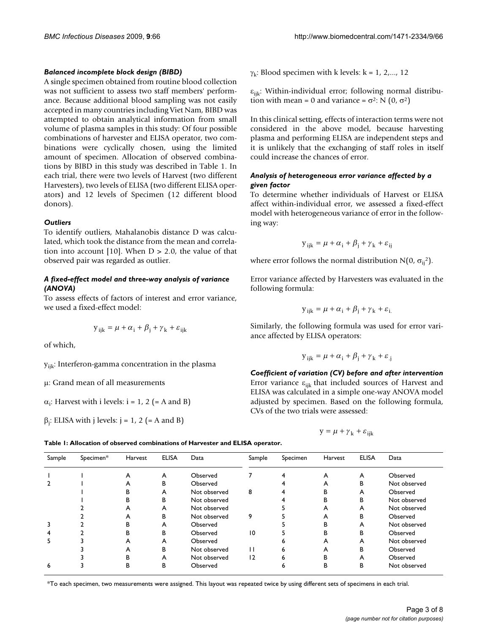#### *Balanced incomplete block design (BIBD)*

A single specimen obtained from routine blood collection was not sufficient to assess two staff members' performance. Because additional blood sampling was not easily accepted in many countries including Viet Nam, BIBD was attempted to obtain analytical information from small volume of plasma samples in this study: Of four possible combinations of harvester and ELISA operator, two combinations were cyclically chosen, using the limited amount of specimen. Allocation of observed combinations by BIBD in this study was described in Table 1. In each trial, there were two levels of Harvest (two different Harvesters), two levels of ELISA (two different ELISA operators) and 12 levels of Specimen (12 different blood donors).

#### *Outliers*

To identify outliers, Mahalanobis distance D was calculated, which took the distance from the mean and correlation into account [10]. When  $D > 2.0$ , the value of that observed pair was regarded as outlier.

#### *A fixed-effect model and three-way analysis of variance (ANOVA)*

To assess effects of factors of interest and error variance, we used a fixed-effect model:

$$
y_{ijk} = \mu + \alpha_i + \beta_j + \gamma_k + \varepsilon_{ijk}
$$

of which,

y<sub>iik</sub>: Interferon-gamma concentration in the plasma

μ: Grand mean of all measurements

 $\alpha_i$ : Harvest with i levels: i = 1, 2 (= A and B)

 $\beta_j$ : ELISA with j levels: j = 1, 2 (= A and B)

 $γ_k$ : Blood specimen with k levels: k = 1, 2,..., 12

 $\varepsilon_{ijk}$ : Within-individual error; following normal distribution with mean = 0 and variance =  $\sigma^2$ : N (0,  $\sigma^2$ )

In this clinical setting, effects of interaction terms were not considered in the above model, because harvesting plasma and performing ELISA are independent steps and it is unlikely that the exchanging of staff roles in itself could increase the chances of error.

#### *Analysis of heterogeneous error variance affected by a given factor*

To determine whether individuals of Harvest or ELISA affect within-individual error, we assessed a fixed-effect model with heterogeneous variance of error in the following way:

$$
y_{ijk} = \mu + \alpha_i + \beta_j + \gamma_k + \varepsilon_{ij}
$$

where error follows the normal distribution N(0,  $\sigma_{ij}^2$ ).

Error variance affected by Harvesters was evaluated in the following formula:

$$
y_{ijk} = \mu + \alpha_i + \beta_j + \gamma_k + \varepsilon_i
$$

Similarly, the following formula was used for error variance affected by ELISA operators:

$$
y_{ijk} = \mu + \alpha_i + \beta_j + \gamma_k + \varepsilon_{.j}
$$

*Coefficient of variation (CV) before and after intervention* Error variance  $\varepsilon_{ijk}$  that included sources of Harvest and ELISA was calculated in a simple one-way ANOVA model adjusted by specimen. Based on the following formula, CVs of the two trials were assessed:

$$
y = \mu + \gamma_k + \varepsilon_{ijk}
$$

#### **Table 1: Allocation of observed combinations of Harvester and ELISA operator.**

| Sample | Specimen* | Harvest | <b>ELISA</b> | Data         | Sample          | Specimen | Harvest | <b>ELISA</b> | Data         |
|--------|-----------|---------|--------------|--------------|-----------------|----------|---------|--------------|--------------|
|        |           | A       | A            | Observed     |                 | 4        | A       | A            | Observed     |
|        |           | A       | В            | Observed     |                 |          | A       | в            | Not observed |
|        |           | В       | A            | Not observed | 8               |          | в       | A            | Observed     |
|        |           | в       | в            | Not observed |                 |          | B       | в            | Not observed |
|        |           | A       | A            | Not observed |                 |          | A       | A            | Not observed |
|        |           | A       | в            | Not observed | 9               |          | A       | B            | Observed     |
| 3      |           | B       | A            | Observed     |                 |          | B       | A            | Not observed |
| 4      |           | в       | B            | Observed     | $\overline{10}$ |          | B       | B            | Observed     |
| 5      |           | A       | A            | Observed     |                 | n        | А       | A            | Not observed |
|        |           | A       | B            | Not observed | $\mathbf{H}$    | 6        | A       | B            | Observed     |
|        |           | B       | A            | Not observed | 12              | ь        | B       | A            | Observed     |
| 6      |           | в       | в            | Observed     |                 | ь        | в       | в            | Not observed |

\*To each specimen, two measurements were assigned. This layout was repeated twice by using different sets of specimens in each trial.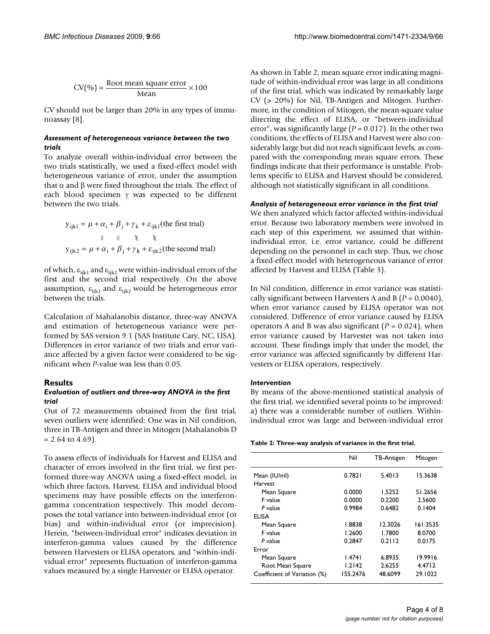$$
CV(\%) = \frac{\text{Root mean square error}}{\text{Mean}} \times 100
$$

CV should not be larger than 20% in any types of immunoassay [8].

#### *Assessment of heterogeneous variance between the two trials*

To analyze overall within-individual error between the two trials statistically, we used a fixed-effect model with heterogeneous variance of error, under the assumption that  $\alpha$  and  $\beta$  were fixed throughout the trials. The effect of each blood specimen γ was expected to be different between the two trials.

$$
y_{ijkl} = \mu + \alpha_i + \beta_j + \gamma_k + \varepsilon_{ijkl} \text{ (the first trial)}
$$
\n
$$
\|\cdot\| \le \|\cdot\|
$$
\n
$$
y_{ijk2} = \mu + \alpha_i + \beta_j + \gamma_k + \varepsilon_{ijk2} \text{ (the second trial)}
$$

of which,  $\varepsilon_{ijkl}$  and  $\varepsilon_{ijk2}$  were within-individual errors of the first and the second trial respectively. On the above assumption,  $\varepsilon_{ijkl}$  and  $\varepsilon_{ijk2}$  would be heterogeneous error between the trials.

Calculation of Mahalanobis distance, three-way ANOVA and estimation of heterogeneous variance were performed by SAS version 9.1 (SAS Institute Cary, NC, USA). Differences in error variance of two trials and error variance affected by a given factor were considered to be significant when *P*-value was less than 0.05.

#### **Results**

#### *Evaluation of outliers and three-way ANOVA in the first trial*

Out of 72 measurements obtained from the first trial, seven outliers were identified: One was in Nil condition, three in TB-Antigen and three in Mitogen (Mahalanobis D  $= 2.64$  to 4.69).

To assess effects of individuals for Harvest and ELISA and character of errors involved in the first trial, we first performed three-way ANOVA using a fixed-effect model, in which three factors, Harvest, ELISA and individual blood specimens may have possible effects on the interferongamma concentration respectively. This model decomposes the total variance into between-individual error (or bias) and within-individual error (or imprecision). Herein, "between-individual error" indicates deviation in interferon-gamma values caused by the difference between Harvesters or ELISA operators, and "within-individual error" represents fluctuation of interferon-gamma values measured by a single Harvester or ELISA operator.

As shown in Table 2, mean square error indicating magnitude of within-individual error was large in all conditions of the first trial, which was indicated by remarkably large CV (> 20%) for Nil, TB-Antigen and Mitogen. Furthermore, in the condition of Mitogen, the mean-square value directing the effect of ELISA, or "between-individual error", was significantly large (*P* = 0.017). In the other two conditions, the effects of ELISA and Harvest were also considerably large but did not reach significant levels, as compared with the corresponding mean square errors. These findings indicate that their performance is unstable. Problems specific to ELISA and Harvest should be considered, although not statistically significant in all conditions.

#### *Analysis of heterogeneous error variance in the first trial*

We then analyzed which factor affected within-individual error. Because two laboratory members were involved in each step of this experiment, we assumed that withinindividual error, i.e. error variance, could be different depending on the personnel in each step. Thus, we chose a fixed-effect model with heterogeneous variance of error affected by Harvest and ELISA (Table 3).

In Nil condition, difference in error variance was statistically significant between Harvesters A and B (*P* = 0.0040), when error variance caused by ELISA operator was not considered. Difference of error variance caused by ELISA operators A and B was also significant (*P* = 0.024), when error variance caused by Harvester was not taken into account. These findings imply that under the model, the error variance was affected significantly by different Harvesters or ELISA operators, respectively.

#### *Intervention*

By means of the above-mentioned statistical analysis of the first trial, we identified several points to be improved: a) there was a considerable number of outliers. Withinindividual error was large and between-individual error

| Table 2: Three-way analysis of variance in the first trial. |  |  |  |  |
|-------------------------------------------------------------|--|--|--|--|
|-------------------------------------------------------------|--|--|--|--|

|                              | Nil      | <b>TB-Antigen</b> | Mitogen  |
|------------------------------|----------|-------------------|----------|
| Mean (IU/ml)                 | 0.7821   | 5.4013            | 15.3638  |
| <b>Harvest</b>               |          |                   |          |
| Mean Square                  | 0.0000   | 1.5252            | 51.2656  |
| E value                      | 0.0000   | 0.2200            | 2.5600   |
| P value                      | 0.9984   | 0.6482            | 0.1404   |
| FI ISA                       |          |                   |          |
| Mean Square                  | 1.8838   | 12.3026           | 161.3535 |
| E value                      | 1.2600   | 1.7800            | 8.0700   |
| P value                      | 0.2847   | 0.2112            | 0.0175   |
| Error                        |          |                   |          |
| Mean Square                  | 1.4741   | 6.8935            | 19.9916  |
| Root Mean Square             | 1.2142   | 2.6255            | 4.4712   |
| Coefficient of Variation (%) | 155.2476 | 48.6099           | 29.1022  |
|                              |          |                   |          |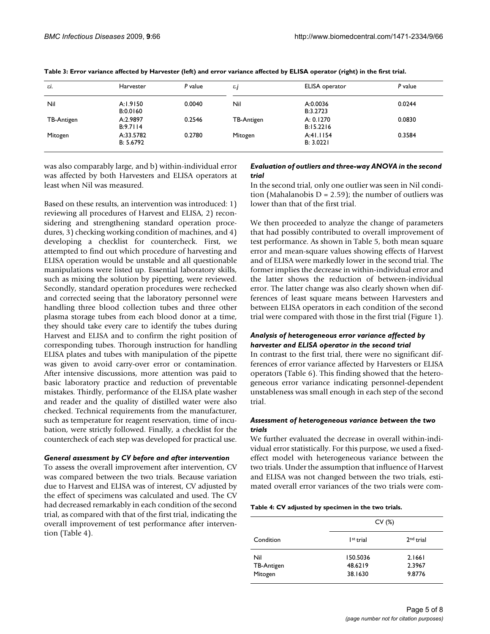| εi.        | Harvester              | P value | εj                | ELISA operator         | P value |
|------------|------------------------|---------|-------------------|------------------------|---------|
| Nil        | A:1.9150<br>B:0.0160   | 0.0040  | Nil               | A:0.0036<br>B:3.2723   | 0.0244  |
| TB-Antigen | A:2.9897<br>B:9.7114   | 0.2546  | <b>TB-Antigen</b> | A: 0.1270<br>B:15.2216 | 0.0830  |
| Mitogen    | A:33.5782<br>B: 5.6792 | 0.2780  | Mitogen           | A:41.1154<br>B: 3.0221 | 0.3584  |

**Table 3: Error variance affected by Harvester (left) and error variance affected by ELISA operator (right) in the first trial.**

was also comparably large, and b) within-individual error was affected by both Harvesters and ELISA operators at least when Nil was measured.

Based on these results, an intervention was introduced: 1) reviewing all procedures of Harvest and ELISA, 2) reconsidering and strengthening standard operation procedures, 3) checking working condition of machines, and 4) developing a checklist for countercheck. First, we attempted to find out which procedure of harvesting and ELISA operation would be unstable and all questionable manipulations were listed up. Essential laboratory skills, such as mixing the solution by pipetting, were reviewed. Secondly, standard operation procedures were rechecked and corrected seeing that the laboratory personnel were handling three blood collection tubes and three other plasma storage tubes from each blood donor at a time, they should take every care to identify the tubes during Harvest and ELISA and to confirm the right position of corresponding tubes. Thorough instruction for handling ELISA plates and tubes with manipulation of the pipette was given to avoid carry-over error or contamination. After intensive discussions, more attention was paid to basic laboratory practice and reduction of preventable mistakes. Thirdly, performance of the ELISA plate washer and reader and the quality of distilled water were also checked. Technical requirements from the manufacturer, such as temperature for reagent reservation, time of incubation, were strictly followed. Finally, a checklist for the countercheck of each step was developed for practical use.

#### *General assessment by CV before and after intervention*

To assess the overall improvement after intervention, CV was compared between the two trials. Because variation due to Harvest and ELISA was of interest, CV adjusted by the effect of specimens was calculated and used. The CV had decreased remarkably in each condition of the second trial, as compared with that of the first trial, indicating the overall improvement of test performance after intervention (Table 4).

#### *Evaluation of outliers and three-way ANOVA in the second trial*

In the second trial, only one outlier was seen in Nil condition (Mahalanobis  $D = 2.59$ ); the number of outliers was lower than that of the first trial.

We then proceeded to analyze the change of parameters that had possibly contributed to overall improvement of test performance. As shown in Table 5, both mean square error and mean-square values showing effects of Harvest and of ELISA were markedly lower in the second trial. The former implies the decrease in within-individual error and the latter shows the reduction of between-individual error. The latter change was also clearly shown when differences of least square means between Harvesters and between ELISA operators in each condition of the second trial were compared with those in the first trial (Figure 1).

#### *Analysis of heterogeneous error variance affected by harvester and ELISA operator in the second trial*

In contrast to the first trial, there were no significant differences of error variance affected by Harvesters or ELISA operators (Table 6). This finding showed that the heterogeneous error variance indicating personnel-dependent unstableness was small enough in each step of the second trial.

#### *Assessment of heterogeneous variance between the two trials*

We further evaluated the decrease in overall within-individual error statistically. For this purpose, we used a fixedeffect model with heterogeneous variance between the two trials. Under the assumption that influence of Harvest and ELISA was not changed between the two trials, estimated overall error variances of the two trials were com-

#### **Table 4: CV adjusted by specimen in the two trials.**

|            | CV(%)                 |             |
|------------|-----------------------|-------------|
| Condition  | I <sup>st</sup> trial | $2nd$ trial |
| Nil        | 150.5036              | 2.1661      |
| TB-Antigen | 48.6219               | 2.3967      |
| Mitogen    | 38.1630               | 9.8776      |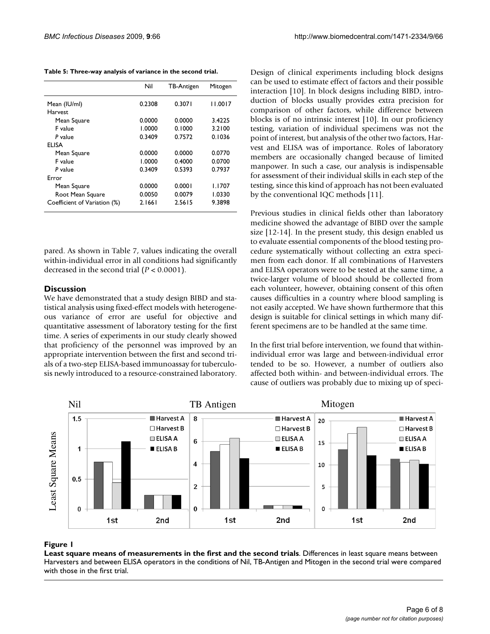**Table 5: Three-way analysis of variance in the second trial.**

|                              | Nil    | <b>TB-Antigen</b> | Mitogen |
|------------------------------|--------|-------------------|---------|
| Mean (IU/ml)                 | 0.2308 | 0.3071            | 11.0017 |
| <b>Harvest</b>               |        |                   |         |
| Mean Square                  | 0.0000 | 0.0000            | 3.4225  |
| F value                      | 1.0000 | 0.1000            | 3.2100  |
| P value                      | 0.3409 | 0.7572            | 0.1036  |
| ELISA                        |        |                   |         |
| Mean Square                  | 0.0000 | 0.0000            | 0.0770  |
| F value                      | 1.0000 | 0.4000            | 0.0700  |
| P value                      | 0.3409 | 0.5393            | 0.7937  |
| Frror                        |        |                   |         |
| Mean Square                  | 0.0000 | 0.0001            | I.I707  |
| Root Mean Square             | 0.0050 | 0.0079            | 1.0330  |
| Coefficient of Variation (%) | 2.1661 | 2.5615            | 9.3898  |

pared. As shown in Table 7, values indicating the overall within-individual error in all conditions had significantly decreased in the second trial (*P* < 0.0001).

#### **Discussion**

We have demonstrated that a study design BIBD and statistical analysis using fixed-effect models with heterogeneous variance of error are useful for objective and quantitative assessment of laboratory testing for the first time. A series of experiments in our study clearly showed that proficiency of the personnel was improved by an appropriate intervention between the first and second trials of a two-step ELISA-based immunoassay for tuberculosis newly introduced to a resource-constrained laboratory. Design of clinical experiments including block designs can be used to estimate effect of factors and their possible interaction [10]. In block designs including BIBD, introduction of blocks usually provides extra precision for comparison of other factors, while difference between blocks is of no intrinsic interest [10]. In our proficiency testing, variation of individual specimens was not the point of interest, but analysis of the other two factors, Harvest and ELISA was of importance. Roles of laboratory members are occasionally changed because of limited manpower. In such a case, our analysis is indispensable for assessment of their individual skills in each step of the testing, since this kind of approach has not been evaluated by the conventional IQC methods [11].

Previous studies in clinical fields other than laboratory medicine showed the advantage of BIBD over the sample size [12-14]. In the present study, this design enabled us to evaluate essential components of the blood testing procedure systematically without collecting an extra specimen from each donor. If all combinations of Harvesters and ELISA operators were to be tested at the same time, a twice-larger volume of blood should be collected from each volunteer, however, obtaining consent of this often causes difficulties in a country where blood sampling is not easily accepted. We have shown furthermore that this design is suitable for clinical settings in which many different specimens are to be handled at the same time.

In the first trial before intervention, we found that withinindividual error was large and between-individual error tended to be so. However, a number of outliers also affected both within- and between-individual errors. The cause of outliers was probably due to mixing up of speci-



#### Figure 1

**Least square means of measurements in the first and the second trials**. Differences in least square means between Harvesters and between ELISA operators in the conditions of Nil, TB-Antigen and Mitogen in the second trial were compared with those in the first trial.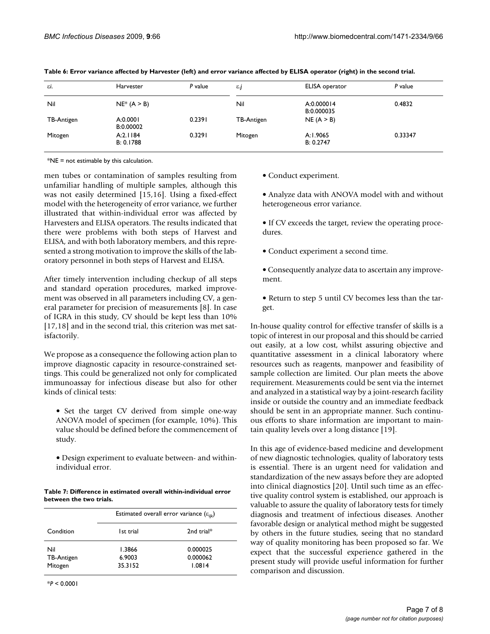| εi.               | Harvester             | P value | ε.j        | <b>ELISA</b> operator    | P value |
|-------------------|-----------------------|---------|------------|--------------------------|---------|
| Nil               | $NE^*(A > B)$         |         | Nil        | A:0.000014<br>B:0.000035 | 0.4832  |
| <b>TB-Antigen</b> | A:0.0001<br>B:0.00002 | 0.2391  | TB-Antigen | NE (A > B)               |         |
| Mitogen           | A:2.1184<br>B: 0.1788 | 0.3291  | Mitogen    | A:1.9065<br>B: 0.2747    | 0.33347 |

**Table 6: Error variance affected by Harvester (left) and error variance affected by ELISA operator (right) in the second trial.**

\*NE = not estimable by this calculation.

men tubes or contamination of samples resulting from unfamiliar handling of multiple samples, although this was not easily determined [15,16]. Using a fixed-effect model with the heterogeneity of error variance, we further illustrated that within-individual error was affected by Harvesters and ELISA operators. The results indicated that there were problems with both steps of Harvest and ELISA, and with both laboratory members, and this represented a strong motivation to improve the skills of the laboratory personnel in both steps of Harvest and ELISA.

After timely intervention including checkup of all steps and standard operation procedures, marked improvement was observed in all parameters including CV, a general parameter for precision of measurements [8]. In case of IGRA in this study, CV should be kept less than 10% [17,18] and in the second trial, this criterion was met satisfactorily.

We propose as a consequence the following action plan to improve diagnostic capacity in resource-constrained settings. This could be generalized not only for complicated immunoassay for infectious disease but also for other kinds of clinical tests:

- Set the target CV derived from simple one-way ANOVA model of specimen (for example, 10%). This value should be defined before the commencement of study.
- Design experiment to evaluate between- and withinindividual error.

**Table 7: Difference in estimated overall within-individual error between the two trials.**

|            | Estimated overall error variance $(\varepsilon_{ijk})$ |            |  |
|------------|--------------------------------------------------------|------------|--|
| Condition  | Ist trial                                              | 2nd trial* |  |
| Nil        | 1.3866                                                 | 0.000025   |  |
| TB-Antigen | 6.9003                                                 | 0.000062   |  |
| Mitogen    | 35.3152                                                | 1.0814     |  |

 $*P < 0.0001$ 

• Conduct experiment.

• Analyze data with ANOVA model with and without heterogeneous error variance.

• If CV exceeds the target, review the operating procedures.

- Conduct experiment a second time.
- Consequently analyze data to ascertain any improvement.

• Return to step 5 until CV becomes less than the target.

In-house quality control for effective transfer of skills is a topic of interest in our proposal and this should be carried out easily, at a low cost, whilst assuring objective and quantitative assessment in a clinical laboratory where resources such as reagents, manpower and feasibility of sample collection are limited. Our plan meets the above requirement. Measurements could be sent via the internet and analyzed in a statistical way by a joint-research facility inside or outside the country and an immediate feedback should be sent in an appropriate manner. Such continuous efforts to share information are important to maintain quality levels over a long distance [19].

In this age of evidence-based medicine and development of new diagnostic technologies, quality of laboratory tests is essential. There is an urgent need for validation and standardization of the new assays before they are adopted into clinical diagnostics [20]. Until such time as an effective quality control system is established, our approach is valuable to assure the quality of laboratory tests for timely diagnosis and treatment of infectious diseases. Another favorable design or analytical method might be suggested by others in the future studies, seeing that no standard way of quality monitoring has been proposed so far. We expect that the successful experience gathered in the present study will provide useful information for further comparison and discussion.